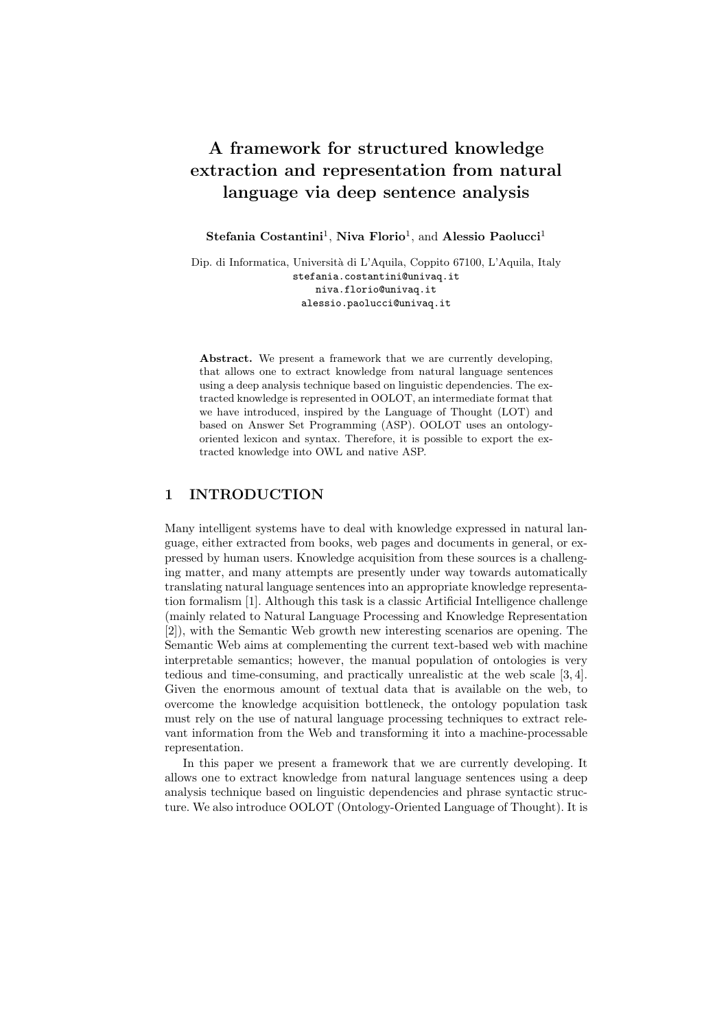# **A framework for structured knowledge extraction and representation from natural language via deep sentence analysis**

Stefania Costantini<sup>1</sup>, Niva Florio<sup>1</sup>, and Alessio Paolucci<sup>1</sup>

Dip. di Informatica, Universit`a di L'Aquila, Coppito 67100, L'Aquila, Italy stefania.costantini@univaq.it niva.florio@univaq.it alessio.paolucci@univaq.it

Abstract. We present a framework that we are currently developing, that allows one to extract knowledge from natural language sentences using a deep analysis technique based on linguistic dependencies. The extracted knowledge is represented in OOLOT, an intermediate format that we have introduced, inspired by the Language of Thought (LOT) and based on Answer Set Programming (ASP). OOLOT uses an ontologyoriented lexicon and syntax. Therefore, it is possible to export the extracted knowledge into OWL and native ASP.

## **1 INTRODUCTION**

Many intelligent systems have to deal with knowledge expressed in natural language, either extracted from books, web pages and documents in general, or expressed by human users. Knowledge acquisition from these sources is a challenging matter, and many attempts are presently under way towards automatically translating natural language sentences into an appropriate knowledge representation formalism [1]. Although this task is a classic Artificial Intelligence challenge (mainly related to Natural Language Processing and Knowledge Representation [2]), with the Semantic Web growth new interesting scenarios are opening. The Semantic Web aims at complementing the current text-based web with machine interpretable semantics; however, the manual population of ontologies is very tedious and time-consuming, and practically unrealistic at the web scale [3, 4]. Given the enormous amount of textual data that is available on the web, to overcome the knowledge acquisition bottleneck, the ontology population task must rely on the use of natural language processing techniques to extract relevant information from the Web and transforming it into a machine-processable representation.

In this paper we present a framework that we are currently developing. It allows one to extract knowledge from natural language sentences using a deep analysis technique based on linguistic dependencies and phrase syntactic structure. We also introduce OOLOT (Ontology-Oriented Language of Thought). It is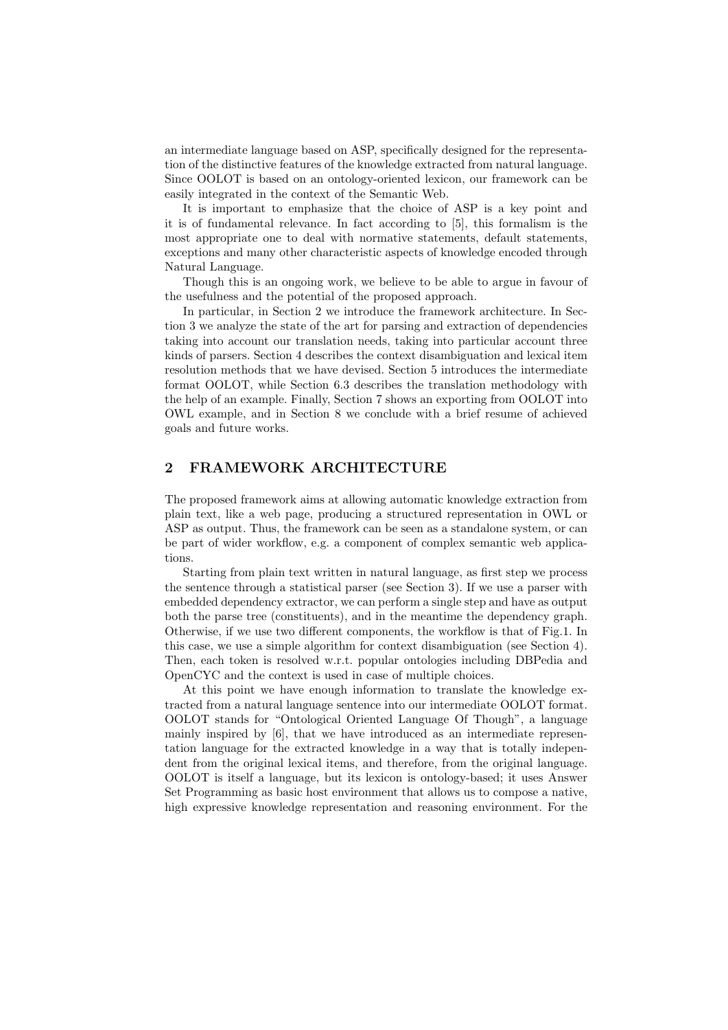an intermediate language based on ASP, specifically designed for the representation of the distinctive features of the knowledge extracted from natural language. Since OOLOT is based on an ontology-oriented lexicon, our framework can be easily integrated in the context of the Semantic Web.

It is important to emphasize that the choice of ASP is a key point and it is of fundamental relevance. In fact according to [5], this formalism is the most appropriate one to deal with normative statements, default statements, exceptions and many other characteristic aspects of knowledge encoded through Natural Language.

Though this is an ongoing work, we believe to be able to argue in favour of the usefulness and the potential of the proposed approach.

In particular, in Section 2 we introduce the framework architecture. In Section 3 we analyze the state of the art for parsing and extraction of dependencies taking into account our translation needs, taking into particular account three kinds of parsers. Section 4 describes the context disambiguation and lexical item resolution methods that we have devised. Section 5 introduces the intermediate format OOLOT, while Section 6.3 describes the translation methodology with the help of an example. Finally, Section 7 shows an exporting from OOLOT into OWL example, and in Section 8 we conclude with a brief resume of achieved goals and future works.

## **2 FRAMEWORK ARCHITECTURE**

The proposed framework aims at allowing automatic knowledge extraction from plain text, like a web page, producing a structured representation in OWL or ASP as output. Thus, the framework can be seen as a standalone system, or can be part of wider workflow, e.g. a component of complex semantic web applications.

Starting from plain text written in natural language, as first step we process the sentence through a statistical parser (see Section 3). If we use a parser with embedded dependency extractor, we can perform a single step and have as output both the parse tree (constituents), and in the meantime the dependency graph. Otherwise, if we use two different components, the workflow is that of Fig.1. In this case, we use a simple algorithm for context disambiguation (see Section 4). Then, each token is resolved w.r.t. popular ontologies including DBPedia and OpenCYC and the context is used in case of multiple choices.

At this point we have enough information to translate the knowledge extracted from a natural language sentence into our intermediate OOLOT format. OOLOT stands for "Ontological Oriented Language Of Though", a language mainly inspired by [6], that we have introduced as an intermediate representation language for the extracted knowledge in a way that is totally independent from the original lexical items, and therefore, from the original language. OOLOT is itself a language, but its lexicon is ontology-based; it uses Answer Set Programming as basic host environment that allows us to compose a native, high expressive knowledge representation and reasoning environment. For the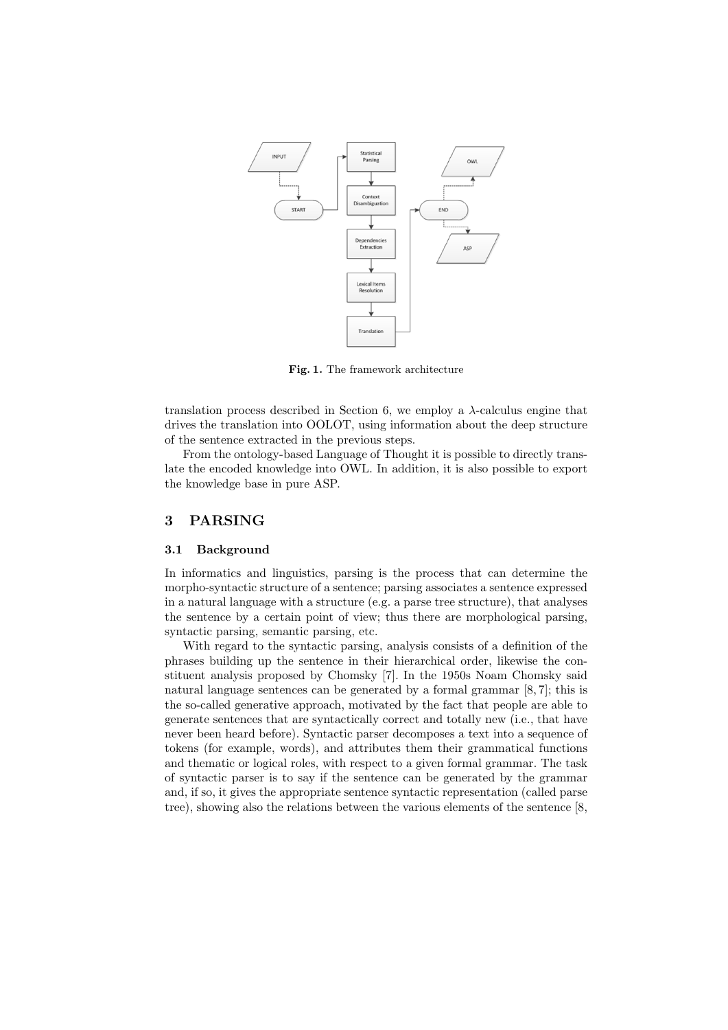

**Fig. 1.** The framework architecture

translation process described in Section 6, we employ a *λ*-calculus engine that drives the translation into OOLOT, using information about the deep structure of the sentence extracted in the previous steps.

From the ontology-based Language of Thought it is possible to directly translate the encoded knowledge into OWL. In addition, it is also possible to export the knowledge base in pure ASP.

### **3 PARSING**

#### **3.1 Background**

In informatics and linguistics, parsing is the process that can determine the morpho-syntactic structure of a sentence; parsing associates a sentence expressed in a natural language with a structure (e.g. a parse tree structure), that analyses the sentence by a certain point of view; thus there are morphological parsing, syntactic parsing, semantic parsing, etc.

With regard to the syntactic parsing, analysis consists of a definition of the phrases building up the sentence in their hierarchical order, likewise the constituent analysis proposed by Chomsky [7]. In the 1950s Noam Chomsky said natural language sentences can be generated by a formal grammar [8, 7]; this is the so-called generative approach, motivated by the fact that people are able to generate sentences that are syntactically correct and totally new (i.e., that have never been heard before). Syntactic parser decomposes a text into a sequence of tokens (for example, words), and attributes them their grammatical functions and thematic or logical roles, with respect to a given formal grammar. The task of syntactic parser is to say if the sentence can be generated by the grammar and, if so, it gives the appropriate sentence syntactic representation (called parse tree), showing also the relations between the various elements of the sentence [8,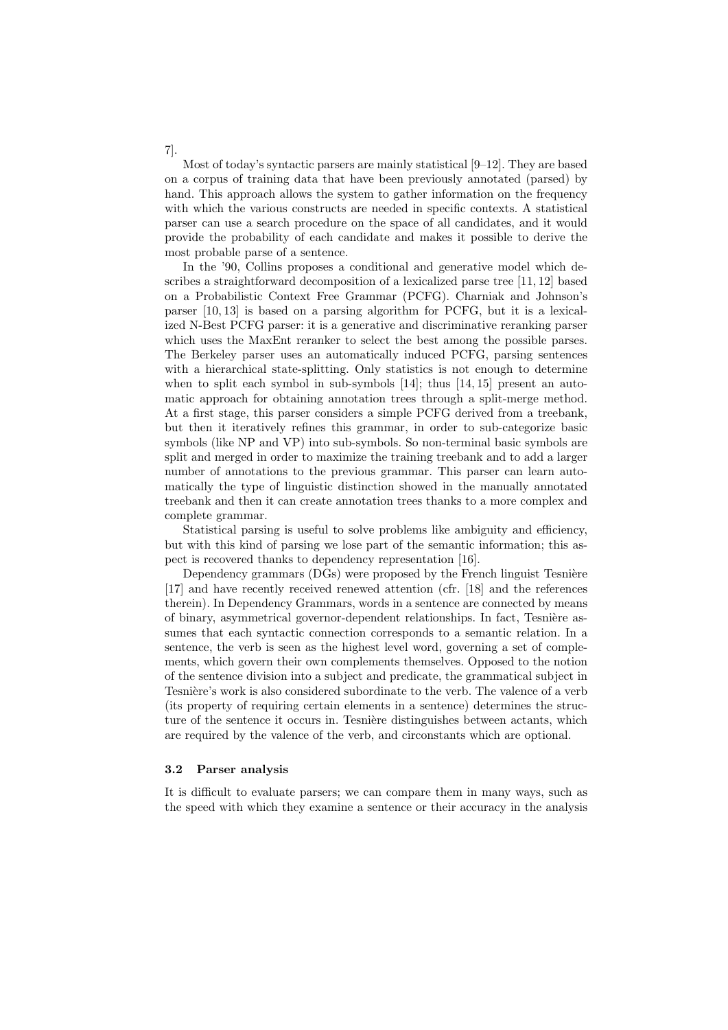Most of today's syntactic parsers are mainly statistical  $[9-12]$ . They are based on a corpus of training data that have been previously annotated (parsed) by hand. This approach allows the system to gather information on the frequency with which the various constructs are needed in specific contexts. A statistical parser can use a search procedure on the space of all candidates, and it would provide the probability of each candidate and makes it possible to derive the most probable parse of a sentence.

In the '90, Collins proposes a conditional and generative model which describes a straightforward decomposition of a lexicalized parse tree [11, 12] based on a Probabilistic Context Free Grammar (PCFG). Charniak and Johnson's parser [10, 13] is based on a parsing algorithm for PCFG, but it is a lexicalized N-Best PCFG parser: it is a generative and discriminative reranking parser which uses the MaxEnt reranker to select the best among the possible parses. The Berkeley parser uses an automatically induced PCFG, parsing sentences with a hierarchical state-splitting. Only statistics is not enough to determine when to split each symbol in sub-symbols  $[14]$ ; thus  $[14, 15]$  present an automatic approach for obtaining annotation trees through a split-merge method. At a first stage, this parser considers a simple PCFG derived from a treebank, but then it iteratively refines this grammar, in order to sub-categorize basic symbols (like NP and VP) into sub-symbols. So non-terminal basic symbols are split and merged in order to maximize the training treebank and to add a larger number of annotations to the previous grammar. This parser can learn automatically the type of linguistic distinction showed in the manually annotated treebank and then it can create annotation trees thanks to a more complex and complete grammar.

Statistical parsing is useful to solve problems like ambiguity and efficiency, but with this kind of parsing we lose part of the semantic information; this aspect is recovered thanks to dependency representation [16].

Dependency grammars (DGs) were proposed by the French linguist Tesnière [17] and have recently received renewed attention (cfr. [18] and the references therein). In Dependency Grammars, words in a sentence are connected by means of binary, asymmetrical governor-dependent relationships. In fact, Tesnière assumes that each syntactic connection corresponds to a semantic relation. In a sentence, the verb is seen as the highest level word, governing a set of complements, which govern their own complements themselves. Opposed to the notion of the sentence division into a subject and predicate, the grammatical subject in Tesnière's work is also considered subordinate to the verb. The valence of a verb (its property of requiring certain elements in a sentence) determines the structure of the sentence it occurs in. Tesnière distinguishes between actants, which are required by the valence of the verb, and circonstants which are optional.

#### **3.2 Parser analysis**

It is difficult to evaluate parsers; we can compare them in many ways, such as the speed with which they examine a sentence or their accuracy in the analysis

7].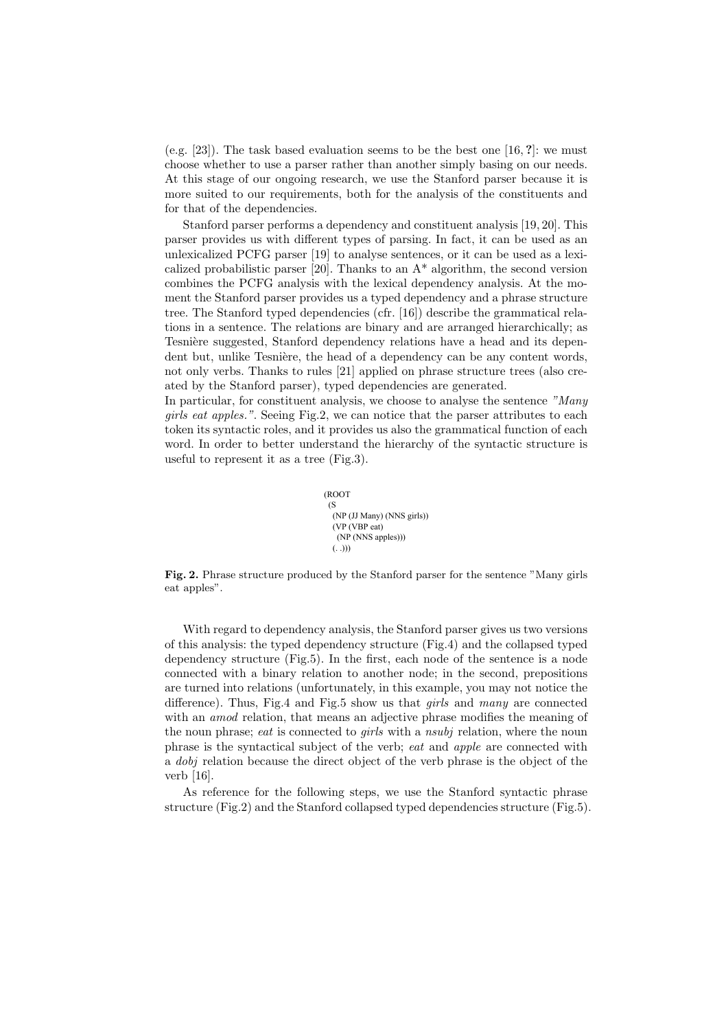(e.g. [23]). The task based evaluation seems to be the best one [16, **?**]: we must choose whether to use a parser rather than another simply basing on our needs. At this stage of our ongoing research, we use the Stanford parser because it is more suited to our requirements, both for the analysis of the constituents and for that of the dependencies.

Stanford parser performs a dependency and constituent analysis [19, 20]. This parser provides us with different types of parsing. In fact, it can be used as an unlexicalized PCFG parser [19] to analyse sentences, or it can be used as a lexicalized probabilistic parser  $[20]$ . Thanks to an  $A^*$  algorithm, the second version combines the PCFG analysis with the lexical dependency analysis. At the moment the Stanford parser provides us a typed dependency and a phrase structure tree. The Stanford typed dependencies (cfr. [16]) describe the grammatical relations in a sentence. The relations are binary and are arranged hierarchically; as Tesnière suggested, Stanford dependency relations have a head and its dependent but, unlike Tesnière, the head of a dependency can be any content words, not only verbs. Thanks to rules [21] applied on phrase structure trees (also created by the Stanford parser), typed dependencies are generated.

In particular, for constituent analysis, we choose to analyse the sentence *"Many girls eat apples."*. Seeing Fig.2, we can notice that the parser attributes to each token its syntactic roles, and it provides us also the grammatical function of each word. In order to better understand the hierarchy of the syntactic structure is useful to represent it as a tree (Fig.3).

```
(ROOT
(S
 (NP (JJ Many) (NNS girls))
 (VP (VBP eat)
  (NP (NNS apples)))
(. \ .))
```
**Fig. 2.** Phrase structure produced by the Stanford parser for the sentence "Many girls eat apples".

With regard to dependency analysis, the Stanford parser gives us two versions of this analysis: the typed dependency structure (Fig.4) and the collapsed typed dependency structure (Fig.5). In the first, each node of the sentence is a node connected with a binary relation to another node; in the second, prepositions are turned into relations (unfortunately, in this example, you may not notice the difference). Thus, Fig.4 and Fig.5 show us that *girls* and *many* are connected with an *amod* relation, that means an adjective phrase modifies the meaning of the noun phrase; *eat* is connected to *girls* with a *nsubj* relation, where the noun phrase is the syntactical subject of the verb; *eat* and *apple* are connected with a *dobj* relation because the direct object of the verb phrase is the object of the verb [16].

As reference for the following steps, we use the Stanford syntactic phrase structure (Fig.2) and the Stanford collapsed typed dependencies structure (Fig.5).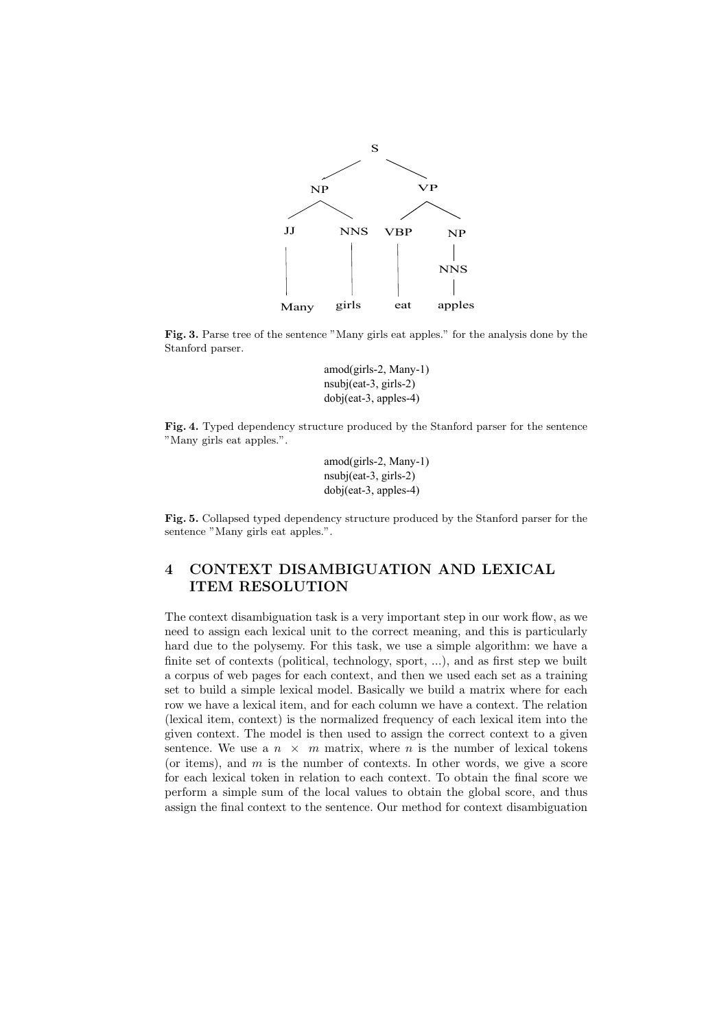

**Fig. 3.** Parse tree of the sentence "Many girls eat apples." for the analysis done by the Stanford parser.

amod(girls-2, Many-1) nsubj(eat-3, girls-2) dobj(eat-3, apples-4)

**Fig. 4.** Typed dependency structure produced by the Stanford parser for the sentence "Many girls eat apples.".

> amod(girls-2, Many-1) nsubj(eat-3, girls-2) dobj(eat-3, apples-4)

**Fig. 5.** Collapsed typed dependency structure produced by the Stanford parser for the sentence "Many girls eat apples.".

## **4 CONTEXT DISAMBIGUATION AND LEXICAL ITEM RESOLUTION**

The context disambiguation task is a very important step in our work flow, as we need to assign each lexical unit to the correct meaning, and this is particularly hard due to the polysemy. For this task, we use a simple algorithm: we have a finite set of contexts (political, technology, sport, ...), and as first step we built a corpus of web pages for each context, and then we used each set as a training set to build a simple lexical model. Basically we build a matrix where for each row we have a lexical item, and for each column we have a context. The relation (lexical item, context) is the normalized frequency of each lexical item into the given context. The model is then used to assign the correct context to a given sentence. We use a  $n \times m$  matrix, where  $n$  is the number of lexical tokens (or items), and *m* is the number of contexts. In other words, we give a score for each lexical token in relation to each context. To obtain the final score we perform a simple sum of the local values to obtain the global score, and thus assign the final context to the sentence. Our method for context disambiguation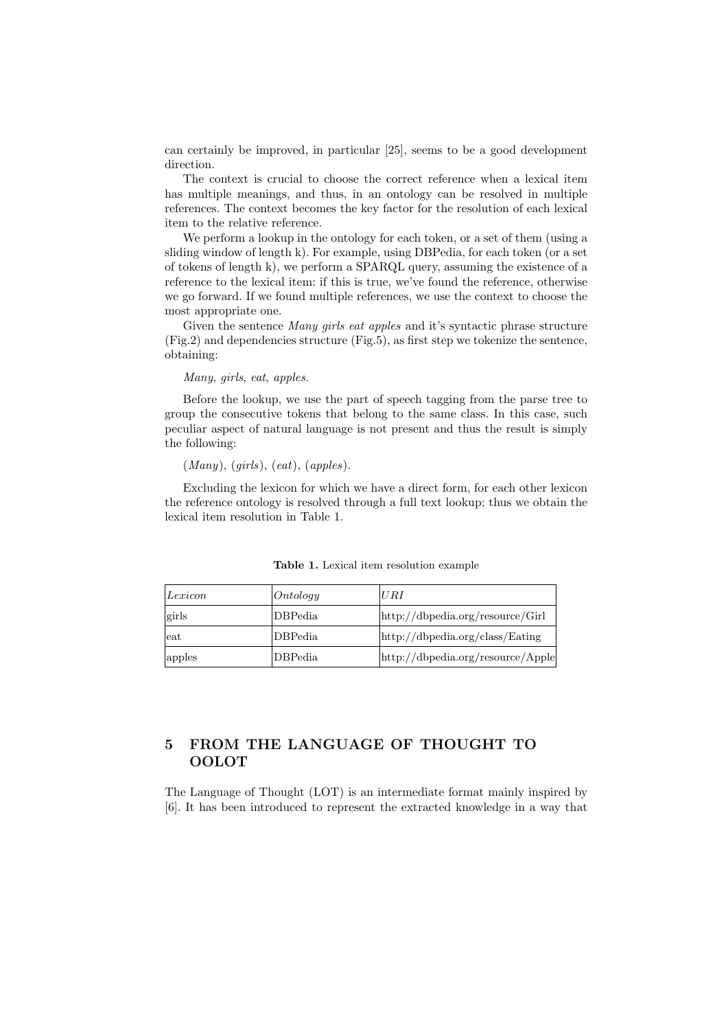can certainly be improved, in particular [25], seems to be a good development direction.

The context is crucial to choose the correct reference when a lexical item has multiple meanings, and thus, in an ontology can be resolved in multiple references. The context becomes the key factor for the resolution of each lexical item to the relative reference.

We perform a lookup in the ontology for each token, or a set of them (using a sliding window of length k). For example, using DBPedia, for each token (or a set of tokens of length k), we perform a SPARQL query, assuming the existence of a reference to the lexical item: if this is true, we've found the reference, otherwise we go forward. If we found multiple references, we use the context to choose the most appropriate one.

Given the sentence *Many girls eat apples* and it's syntactic phrase structure (Fig.2) and dependencies structure (Fig.5), as first step we tokenize the sentence, obtaining:

*Many*, *girls*, *eat*, *apples*.

Before the lookup, we use the part of speech tagging from the parse tree to group the consecutive tokens that belong to the same class. In this case, such peculiar aspect of natural language is not present and thus the result is simply the following:

(*Many*), (*girls*), (*eat*), (*apples*).

Excluding the lexicon for which we have a direct form, for each other lexicon the reference ontology is resolved through a full text lookup; thus we obtain the lexical item resolution in Table 1.

| Lexicon | Ontology | URI                               |
|---------|----------|-----------------------------------|
| girls   | DBPedia  | http://dbpedia.org/resource/Girl  |
| eat     | DBPedia  | http://dbpedia.org/class/Eating   |
| apples  | DBPedia  | http://dbpedia.org/resource/Apple |

**Table 1.** Lexical item resolution example

## **5 FROM THE LANGUAGE OF THOUGHT TO OOLOT**

The Language of Thought (LOT) is an intermediate format mainly inspired by [6]. It has been introduced to represent the extracted knowledge in a way that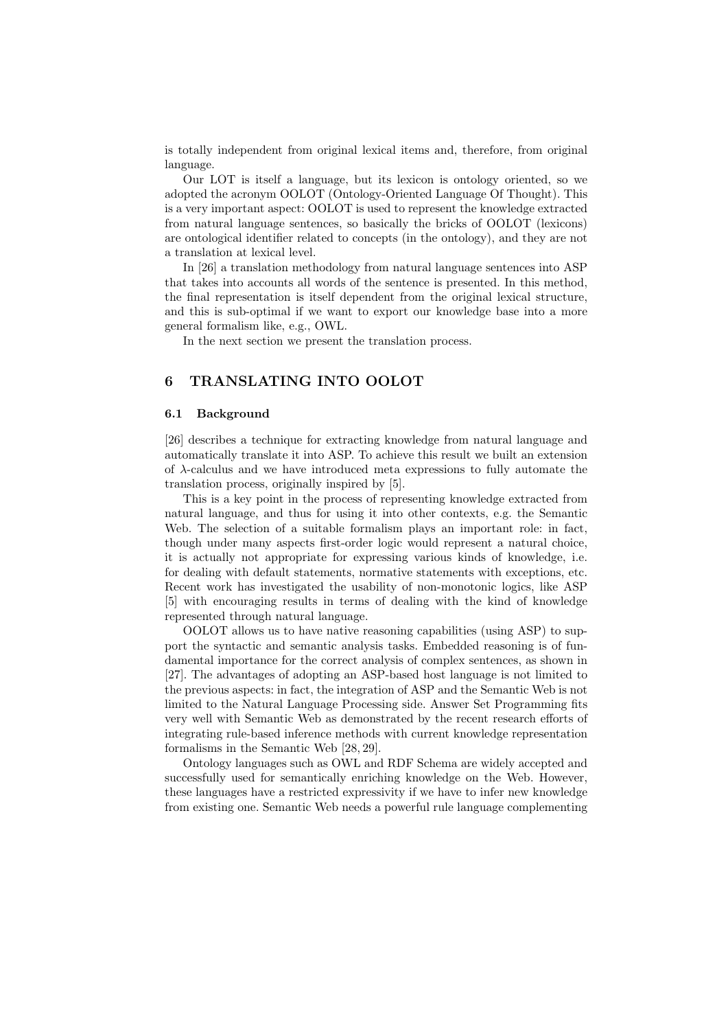is totally independent from original lexical items and, therefore, from original language.

Our LOT is itself a language, but its lexicon is ontology oriented, so we adopted the acronym OOLOT (Ontology-Oriented Language Of Thought). This is a very important aspect: OOLOT is used to represent the knowledge extracted from natural language sentences, so basically the bricks of OOLOT (lexicons) are ontological identifier related to concepts (in the ontology), and they are not a translation at lexical level.

In [26] a translation methodology from natural language sentences into ASP that takes into accounts all words of the sentence is presented. In this method, the final representation is itself dependent from the original lexical structure, and this is sub-optimal if we want to export our knowledge base into a more general formalism like, e.g., OWL.

In the next section we present the translation process.

### **6 TRANSLATING INTO OOLOT**

#### **6.1 Background**

[26] describes a technique for extracting knowledge from natural language and automatically translate it into ASP. To achieve this result we built an extension of *λ*-calculus and we have introduced meta expressions to fully automate the translation process, originally inspired by [5].

This is a key point in the process of representing knowledge extracted from natural language, and thus for using it into other contexts, e.g. the Semantic Web. The selection of a suitable formalism plays an important role: in fact, though under many aspects first-order logic would represent a natural choice, it is actually not appropriate for expressing various kinds of knowledge, i.e. for dealing with default statements, normative statements with exceptions, etc. Recent work has investigated the usability of non-monotonic logics, like ASP [5] with encouraging results in terms of dealing with the kind of knowledge represented through natural language.

OOLOT allows us to have native reasoning capabilities (using ASP) to support the syntactic and semantic analysis tasks. Embedded reasoning is of fundamental importance for the correct analysis of complex sentences, as shown in [27]. The advantages of adopting an ASP-based host language is not limited to the previous aspects: in fact, the integration of ASP and the Semantic Web is not limited to the Natural Language Processing side. Answer Set Programming fits very well with Semantic Web as demonstrated by the recent research efforts of integrating rule-based inference methods with current knowledge representation formalisms in the Semantic Web [28, 29].

Ontology languages such as OWL and RDF Schema are widely accepted and successfully used for semantically enriching knowledge on the Web. However, these languages have a restricted expressivity if we have to infer new knowledge from existing one. Semantic Web needs a powerful rule language complementing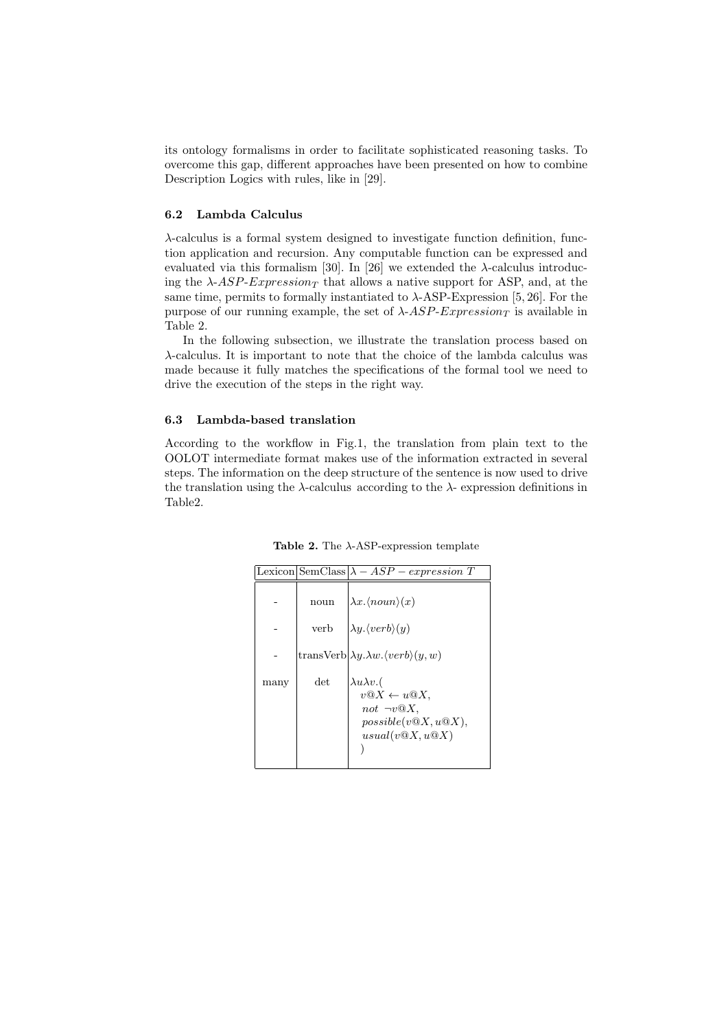its ontology formalisms in order to facilitate sophisticated reasoning tasks. To overcome this gap, different approaches have been presented on how to combine Description Logics with rules, like in [29].

#### **6.2 Lambda Calculus**

*λ*-calculus is a formal system designed to investigate function definition, function application and recursion. Any computable function can be expressed and evaluated via this formalism [30]. In [26] we extended the *λ*-calculus introducing the  $\lambda$ -*ASP-Expression<sub>T</sub>* that allows a native support for ASP, and, at the same time, permits to formally instantiated to  $\lambda$ -ASP-Expression [5, 26]. For the purpose of our running example, the set of *λ*-*ASP*-*Expression<sup>T</sup>* is available in Table 2.

In the following subsection, we illustrate the translation process based on *λ*-calculus. It is important to note that the choice of the lambda calculus was made because it fully matches the specifications of the formal tool we need to drive the execution of the steps in the right way.

#### **6.3 Lambda-based translation**

According to the workflow in Fig.1, the translation from plain text to the OOLOT intermediate format makes use of the information extracted in several steps. The information on the deep structure of the sentence is now used to drive the translation using the  $\lambda$ -calculus according to the  $\lambda$ - expression definitions in Table2.

|      |      | $ \text{Lexicon} \text{SemClass} \lambda - ASP - expression T$                                                                 |
|------|------|--------------------------------------------------------------------------------------------------------------------------------|
|      | noun | $\lambda x. \langle noun \rangle(x)$                                                                                           |
|      | verb | $\lambda y. (verb)(y)$                                                                                                         |
|      |      | transVerb $ \lambda y.\lambda w.\langle verb\rangle(y,w)$                                                                      |
| many | det  | $\lambda u \lambda v$ .(<br>$v@X \leftarrow u@X,$<br>not $\neg v \mathbin{\odot} X$ .<br>possible(v@X,u@X),<br>usual(v@X, u@X) |

**Table 2.** The *λ*-ASP-expression template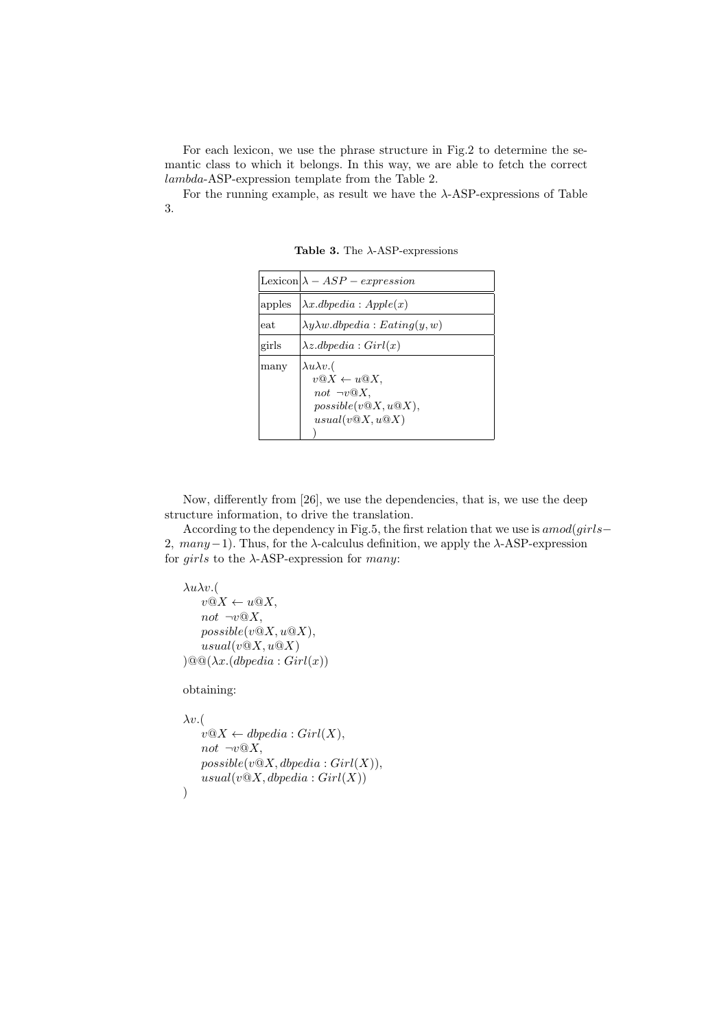For each lexicon, we use the phrase structure in Fig.2 to determine the semantic class to which it belongs. In this way, we are able to fetch the correct *lambda*-ASP-expression template from the Table 2.

For the running example, as result we have the *λ*-ASP-expressions of Table 3.

|        | Lexicon $\lambda - ASP - expression$                                                                                        |
|--------|-----------------------------------------------------------------------------------------------------------------------------|
| apples | $\lambda x. dbpedia: Apple(x)$                                                                                              |
| eat    | $\lambda y \lambda w \ldotp dbpedia : Eating(y, w)$                                                                         |
| girls  | $\lambda z \ldotp dbpedia : Girl(x)$                                                                                        |
| many   | $\lambda u \lambda v$ .(<br>$v@X \leftarrow u@X,$<br>not $\neg v \mathfrak{Q} X$ ,<br>possible(v@X,u@X),<br>usual(v@X, u@X) |

**Table 3.** The *λ*-ASP-expressions

Now, differently from [26], we use the dependencies, that is, we use the deep structure information, to drive the translation.

According to the dependency in Fig.5, the first relation that we use is *amod*(*girls−* 2*, many−*1). Thus, for the *λ*-calculus definition, we apply the *λ*-ASP-expression for *girls* to the *λ*-ASP-expression for *many*:

```
λuλv.(
 v@X \leftarrow u@X,not \neg v@X,possible(v@X, u@X),
 usual(v@X, u@X))@@(\lambda x.(dbpedia: Girl(x))
```
obtaining:

```
λv.(
 v@X \leftarrow dbpedia: Girl(X),not \neg v@X.
 possible(v@X, dbpedia: Girl(X)),usual(v@X, dbpedia: Girl(X)))
```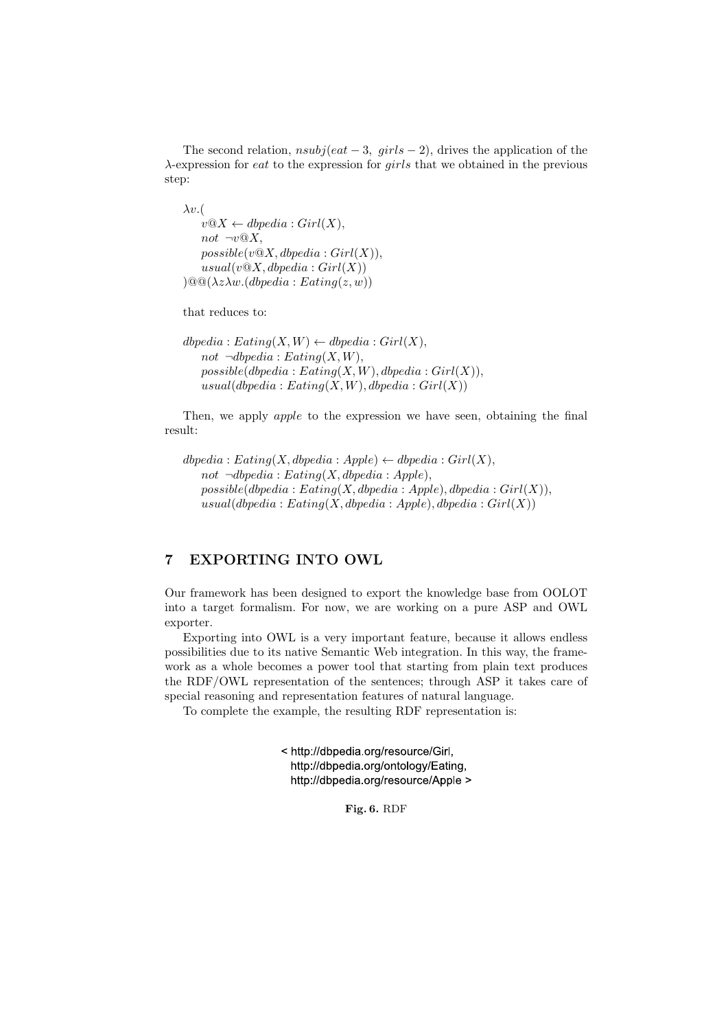The second relation, *nsubj*(*eat −* 3*, girls −* 2), drives the application of the *λ*-expression for *eat* to the expression for *girls* that we obtained in the previous step:

*λv.*(  $v@X \leftarrow dbpedia : Girl(X),$  $not \neg v \mathcal{Q} X$ ,  $possible(v@X, dbpedia: Girl(X)),$  $usual(v@X, dbpedia: Girl(X))$  $)\@@(\lambda z \lambda w. (dbpedia : Eating(z, w))$ 

that reduces to:

```
dbpedia: Eating(X, W) \leftarrow dbpedia: Girl(X),not \neg dbpedia : Eating(X, W),
 possible(dbpedia : Eating(X, W), dbpedia : Girl(X)),usual(dbpedia : Eating(X, W), dbpedia : Girl(X))
```
Then, we apply *apple* to the expression we have seen, obtaining the final result:

```
dbpedia: Eating(X, dbpedia: Apple) \leftarrow dbpedia: Girl(X),
 not \neg dbpedia : Eating(X, dbpedia : Apple),possible(dbpedia : Eating(X, dbpedia : Apple), dbpedia : Girl(X)),usual(dbpedia : Eating(X, dbpedia : Apple), dbpedia : Girl(X))
```
## **7 EXPORTING INTO OWL**

Our framework has been designed to export the knowledge base from OOLOT into a target formalism. For now, we are working on a pure ASP and OWL exporter.

Exporting into OWL is a very important feature, because it allows endless possibilities due to its native Semantic Web integration. In this way, the framework as a whole becomes a power tool that starting from plain text produces the RDF/OWL representation of the sentences; through ASP it takes care of special reasoning and representation features of natural language.

To complete the example, the resulting RDF representation is:

< http://dbpedia.org/resource/Girl, http://dbpedia.org/ontology/Eating. http://dbpedia.org/resource/Apple >

**Fig. 6.** RDF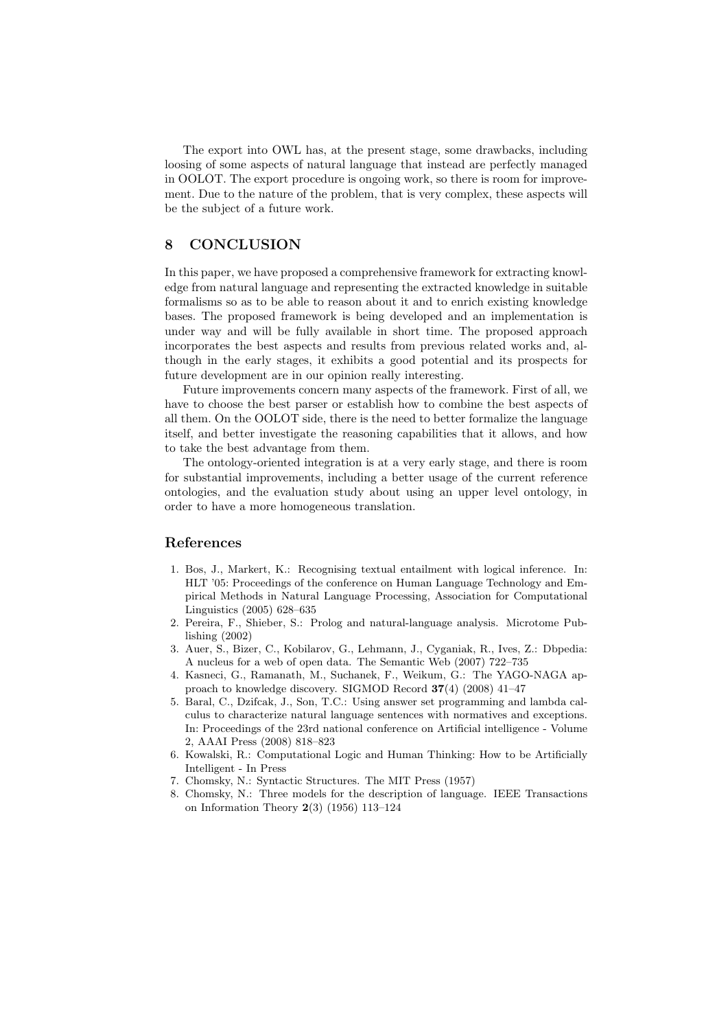The export into OWL has, at the present stage, some drawbacks, including loosing of some aspects of natural language that instead are perfectly managed in OOLOT. The export procedure is ongoing work, so there is room for improvement. Due to the nature of the problem, that is very complex, these aspects will be the subject of a future work.

## **8 CONCLUSION**

In this paper, we have proposed a comprehensive framework for extracting knowledge from natural language and representing the extracted knowledge in suitable formalisms so as to be able to reason about it and to enrich existing knowledge bases. The proposed framework is being developed and an implementation is under way and will be fully available in short time. The proposed approach incorporates the best aspects and results from previous related works and, although in the early stages, it exhibits a good potential and its prospects for future development are in our opinion really interesting.

Future improvements concern many aspects of the framework. First of all, we have to choose the best parser or establish how to combine the best aspects of all them. On the OOLOT side, there is the need to better formalize the language itself, and better investigate the reasoning capabilities that it allows, and how to take the best advantage from them.

The ontology-oriented integration is at a very early stage, and there is room for substantial improvements, including a better usage of the current reference ontologies, and the evaluation study about using an upper level ontology, in order to have a more homogeneous translation.

#### **References**

- 1. Bos, J., Markert, K.: Recognising textual entailment with logical inference. In: HLT '05: Proceedings of the conference on Human Language Technology and Empirical Methods in Natural Language Processing, Association for Computational Linguistics (2005) 628–635
- 2. Pereira, F., Shieber, S.: Prolog and natural-language analysis. Microtome Publishing (2002)
- 3. Auer, S., Bizer, C., Kobilarov, G., Lehmann, J., Cyganiak, R., Ives, Z.: Dbpedia: A nucleus for a web of open data. The Semantic Web (2007) 722–735
- 4. Kasneci, G., Ramanath, M., Suchanek, F., Weikum, G.: The YAGO-NAGA approach to knowledge discovery. SIGMOD Record **37**(4) (2008) 41–47
- 5. Baral, C., Dzifcak, J., Son, T.C.: Using answer set programming and lambda calculus to characterize natural language sentences with normatives and exceptions. In: Proceedings of the 23rd national conference on Artificial intelligence - Volume 2, AAAI Press (2008) 818–823
- 6. Kowalski, R.: Computational Logic and Human Thinking: How to be Artificially Intelligent - In Press
- 7. Chomsky, N.: Syntactic Structures. The MIT Press (1957)
- 8. Chomsky, N.: Three models for the description of language. IEEE Transactions on Information Theory **2**(3) (1956) 113–124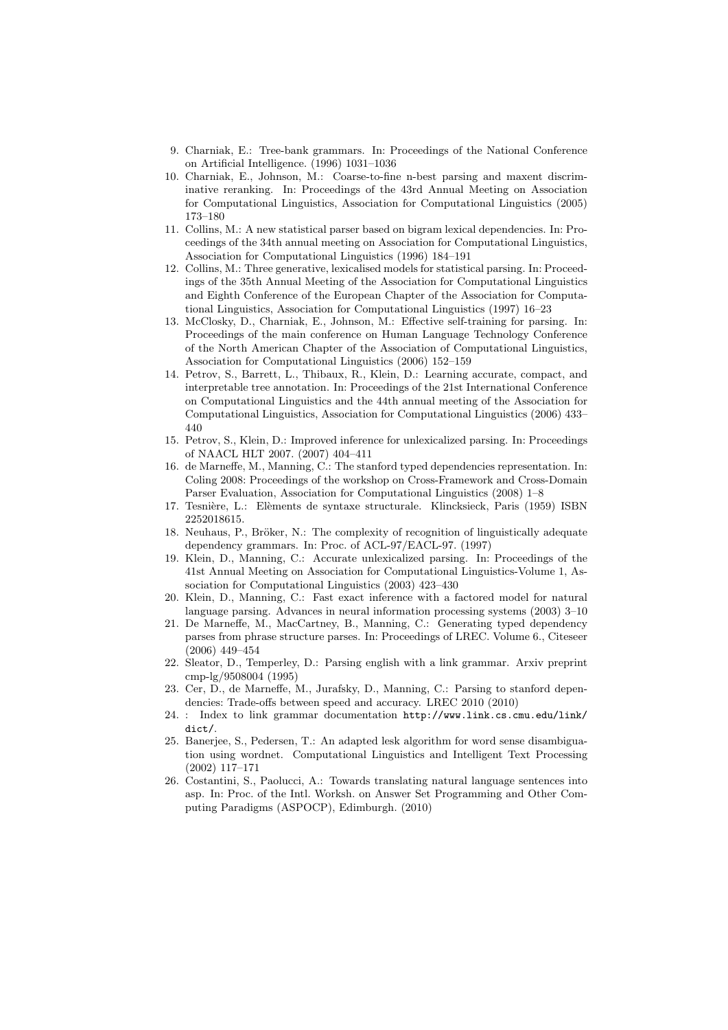- 9. Charniak, E.: Tree-bank grammars. In: Proceedings of the National Conference on Artificial Intelligence. (1996) 1031–1036
- 10. Charniak, E., Johnson, M.: Coarse-to-fine n-best parsing and maxent discriminative reranking. In: Proceedings of the 43rd Annual Meeting on Association for Computational Linguistics, Association for Computational Linguistics (2005) 173–180
- 11. Collins, M.: A new statistical parser based on bigram lexical dependencies. In: Proceedings of the 34th annual meeting on Association for Computational Linguistics, Association for Computational Linguistics (1996) 184–191
- 12. Collins, M.: Three generative, lexicalised models for statistical parsing. In: Proceedings of the 35th Annual Meeting of the Association for Computational Linguistics and Eighth Conference of the European Chapter of the Association for Computational Linguistics, Association for Computational Linguistics (1997) 16–23
- 13. McClosky, D., Charniak, E., Johnson, M.: Effective self-training for parsing. In: Proceedings of the main conference on Human Language Technology Conference of the North American Chapter of the Association of Computational Linguistics, Association for Computational Linguistics (2006) 152–159
- 14. Petrov, S., Barrett, L., Thibaux, R., Klein, D.: Learning accurate, compact, and interpretable tree annotation. In: Proceedings of the 21st International Conference on Computational Linguistics and the 44th annual meeting of the Association for Computational Linguistics, Association for Computational Linguistics (2006) 433– 440
- 15. Petrov, S., Klein, D.: Improved inference for unlexicalized parsing. In: Proceedings of NAACL HLT 2007. (2007) 404–411
- 16. de Marneffe, M., Manning, C.: The stanford typed dependencies representation. In: Coling 2008: Proceedings of the workshop on Cross-Framework and Cross-Domain Parser Evaluation, Association for Computational Linguistics (2008) 1–8
- 17. Tesnière, L.: Elèments de syntaxe structurale. Klincksieck, Paris (1959) ISBN 2252018615.
- 18. Neuhaus, P., Bröker, N.: The complexity of recognition of linguistically adequate dependency grammars. In: Proc. of ACL-97/EACL-97. (1997)
- 19. Klein, D., Manning, C.: Accurate unlexicalized parsing. In: Proceedings of the 41st Annual Meeting on Association for Computational Linguistics-Volume 1, Association for Computational Linguistics (2003) 423–430
- 20. Klein, D., Manning, C.: Fast exact inference with a factored model for natural language parsing. Advances in neural information processing systems (2003) 3–10
- 21. De Marneffe, M., MacCartney, B., Manning, C.: Generating typed dependency parses from phrase structure parses. In: Proceedings of LREC. Volume 6., Citeseer (2006) 449–454
- 22. Sleator, D., Temperley, D.: Parsing english with a link grammar. Arxiv preprint cmp-lg/9508004 (1995)
- 23. Cer, D., de Marneffe, M., Jurafsky, D., Manning, C.: Parsing to stanford dependencies: Trade-offs between speed and accuracy. LREC 2010 (2010)
- 24. : Index to link grammar documentation http://www.link.cs.cmu.edu/link/ dict/.
- 25. Banerjee, S., Pedersen, T.: An adapted lesk algorithm for word sense disambiguation using wordnet. Computational Linguistics and Intelligent Text Processing (2002) 117–171
- 26. Costantini, S., Paolucci, A.: Towards translating natural language sentences into asp. In: Proc. of the Intl. Worksh. on Answer Set Programming and Other Computing Paradigms (ASPOCP), Edimburgh. (2010)